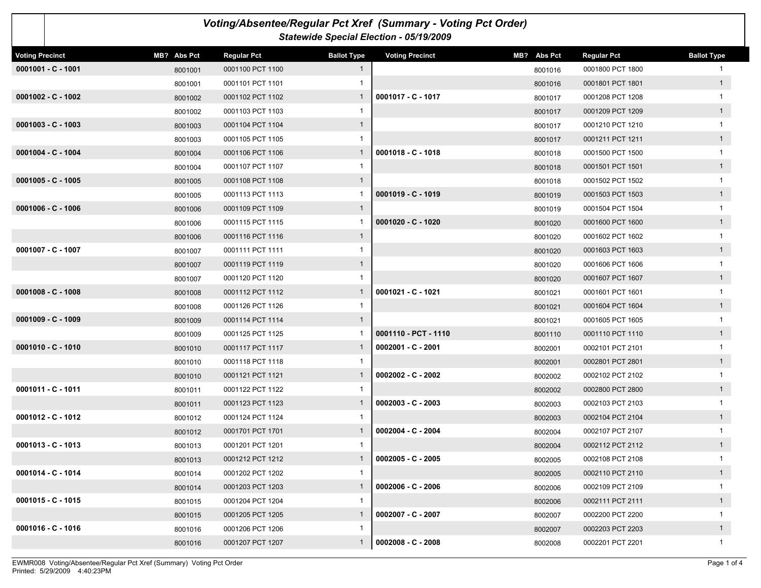|                        |             |                    |                    | Voting/Absentee/Regular Pct Xref (Summary - Voting Pct Order)<br>Statewide Special Election - 05/19/2009 |             |                    |                    |
|------------------------|-------------|--------------------|--------------------|----------------------------------------------------------------------------------------------------------|-------------|--------------------|--------------------|
| <b>Voting Precinct</b> | MB? Abs Pct | <b>Regular Pct</b> | <b>Ballot Type</b> | <b>Voting Precinct</b>                                                                                   | MB? Abs Pct | <b>Regular Pct</b> | <b>Ballot Type</b> |
| $0001001 - C - 1001$   | 8001001     | 0001100 PCT 1100   | $\mathbf{1}$       |                                                                                                          | 8001016     | 0001800 PCT 1800   |                    |
|                        | 8001001     | 0001101 PCT 1101   | 1                  |                                                                                                          | 8001016     | 0001801 PCT 1801   | 1                  |
| $0001002 - C - 1002$   | 8001002     | 0001102 PCT 1102   | $\mathbf{1}$       | 0001017 - C - 1017                                                                                       | 8001017     | 0001208 PCT 1208   | 1                  |
|                        | 8001002     | 0001103 PCT 1103   | 1                  |                                                                                                          | 8001017     | 0001209 PCT 1209   | 1                  |
| $0001003 - C - 1003$   | 8001003     | 0001104 PCT 1104   | $\mathbf{1}$       |                                                                                                          | 8001017     | 0001210 PCT 1210   | $\mathbf{1}$       |
|                        | 8001003     | 0001105 PCT 1105   | 1                  |                                                                                                          | 8001017     | 0001211 PCT 1211   | 1                  |
| $0001004 - C - 1004$   | 8001004     | 0001106 PCT 1106   | $\mathbf{1}$       | $0001018 - C - 1018$                                                                                     | 8001018     | 0001500 PCT 1500   | $\mathbf{1}$       |
|                        | 8001004     | 0001107 PCT 1107   | 1                  |                                                                                                          | 8001018     | 0001501 PCT 1501   | 1                  |
| $0001005 - C - 1005$   | 8001005     | 0001108 PCT 1108   | $\mathbf{1}$       |                                                                                                          | 8001018     | 0001502 PCT 1502   | $\mathbf{1}$       |
|                        | 8001005     | 0001113 PCT 1113   | -1                 | $0001019 - C - 1019$                                                                                     | 8001019     | 0001503 PCT 1503   | 1                  |
| $0001006 - C - 1006$   | 8001006     | 0001109 PCT 1109   | $\mathbf{1}$       |                                                                                                          | 8001019     | 0001504 PCT 1504   | 1                  |
|                        | 8001006     | 0001115 PCT 1115   | -1                 | $0001020 - C - 1020$                                                                                     | 8001020     | 0001600 PCT 1600   | 1                  |
|                        | 8001006     | 0001116 PCT 1116   | $\mathbf{1}$       |                                                                                                          | 8001020     | 0001602 PCT 1602   | 1                  |
| 0001007 - C - 1007     | 8001007     | 0001111 PCT 1111   | 1                  |                                                                                                          | 8001020     | 0001603 PCT 1603   | 1                  |
|                        | 8001007     | 0001119 PCT 1119   | $\mathbf{1}$       |                                                                                                          | 8001020     | 0001606 PCT 1606   |                    |
|                        | 8001007     | 0001120 PCT 1120   | 1                  |                                                                                                          | 8001020     | 0001607 PCT 1607   | 1                  |
| $0001008 - C - 1008$   | 8001008     | 0001112 PCT 1112   | $\mathbf{1}$       | 0001021 - C - 1021                                                                                       | 8001021     | 0001601 PCT 1601   | 1                  |
|                        | 8001008     | 0001126 PCT 1126   | 1                  |                                                                                                          | 8001021     | 0001604 PCT 1604   | 1                  |
| $0001009 - C - 1009$   | 8001009     | 0001114 PCT 1114   | $\mathbf{1}$       |                                                                                                          | 8001021     | 0001605 PCT 1605   | 1                  |
|                        | 8001009     | 0001125 PCT 1125   | -1                 | 0001110 - PCT - 1110                                                                                     | 8001110     | 0001110 PCT 1110   | 1                  |
| $0001010 - C - 1010$   | 8001010     | 0001117 PCT 1117   | $\mathbf{1}$       | 0002001 - C - 2001                                                                                       | 8002001     | 0002101 PCT 2101   | $\mathbf{1}$       |
|                        | 8001010     | 0001118 PCT 1118   | 1                  |                                                                                                          | 8002001     | 0002801 PCT 2801   | 1                  |
|                        | 8001010     | 0001121 PCT 1121   | $\mathbf{1}$       | $0002002 - C - 2002$                                                                                     | 8002002     | 0002102 PCT 2102   | $\mathbf{1}$       |
| 0001011 - C - 1011     | 8001011     | 0001122 PCT 1122   | 1                  |                                                                                                          | 8002002     | 0002800 PCT 2800   | 1                  |
|                        | 8001011     | 0001123 PCT 1123   | $\mathbf{1}$       | $0002003 - C - 2003$                                                                                     | 8002003     | 0002103 PCT 2103   |                    |
| $0001012 - C - 1012$   | 8001012     | 0001124 PCT 1124   | 1                  |                                                                                                          | 8002003     | 0002104 PCT 2104   | 1                  |
|                        | 8001012     | 0001701 PCT 1701   | $\mathbf{1}$       | $0002004 - C - 2004$                                                                                     | 8002004     | 0002107 PCT 2107   |                    |
| $0001013 - C - 1013$   | 8001013     | 0001201 PCT 1201   |                    |                                                                                                          | 8002004     | 0002112 PCT 2112   | $\mathbf{1}$       |
|                        | 8001013     | 0001212 PCT 1212   | $\mathbf{1}$       | $0002005 - C - 2005$                                                                                     | 8002005     | 0002108 PCT 2108   | $\mathbf{1}$       |
| $0001014 - C - 1014$   | 8001014     | 0001202 PCT 1202   | $\mathbf{1}$       |                                                                                                          | 8002005     | 0002110 PCT 2110   | 1                  |
|                        | 8001014     | 0001203 PCT 1203   | 1                  | $0002006 - C - 2006$                                                                                     | 8002006     | 0002109 PCT 2109   | $\mathbf{1}$       |
| $0001015 - C - 1015$   | 8001015     | 0001204 PCT 1204   | $\mathbf{1}$       |                                                                                                          | 8002006     | 0002111 PCT 2111   | 1                  |
|                        | 8001015     | 0001205 PCT 1205   | $\mathbf{1}$       | $0002007 - C - 2007$                                                                                     | 8002007     | 0002200 PCT 2200   | $\mathbf 1$        |
| $0001016 - C - 1016$   | 8001016     | 0001206 PCT 1206   | $\mathbf{1}$       |                                                                                                          | 8002007     | 0002203 PCT 2203   | 1                  |
|                        | 8001016     | 0001207 PCT 1207   | $\mathbf{1}$       | $0002008 - C - 2008$                                                                                     | 8002008     | 0002201 PCT 2201   | $\mathbf{1}$       |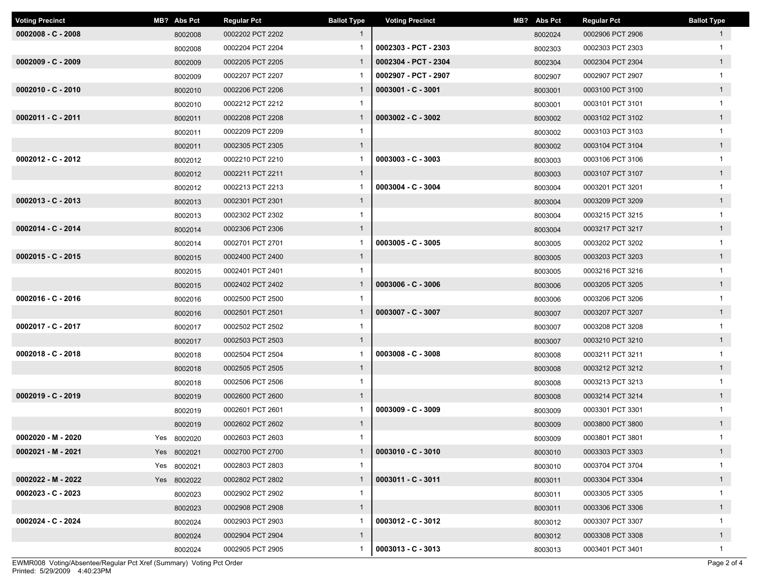| <b>Voting Precinct</b> | MB? Abs Pct | <b>Regular Pct</b> | <b>Ballot Type</b> | <b>Voting Precinct</b> | MB? Abs Pct | <b>Regular Pct</b> | <b>Ballot Type</b> |
|------------------------|-------------|--------------------|--------------------|------------------------|-------------|--------------------|--------------------|
| $0002008 - C - 2008$   | 8002008     | 0002202 PCT 2202   |                    |                        | 8002024     | 0002906 PCT 2906   | $\mathbf{1}$       |
|                        | 8002008     | 0002204 PCT 2204   |                    | 0002303 - PCT - 2303   | 8002303     | 0002303 PCT 2303   |                    |
| $0002009 - C - 2009$   | 8002009     | 0002205 PCT 2205   | $\mathbf{1}$       | 0002304 - PCT - 2304   | 8002304     | 0002304 PCT 2304   | $\mathbf{1}$       |
|                        | 8002009     | 0002207 PCT 2207   |                    | 0002907 - PCT - 2907   | 8002907     | 0002907 PCT 2907   |                    |
| $0002010 - C - 2010$   | 8002010     | 0002206 PCT 2206   | $\mathbf{1}$       | $0003001 - C - 3001$   | 8003001     | 0003100 PCT 3100   | $\mathbf{1}$       |
|                        | 8002010     | 0002212 PCT 2212   |                    |                        | 8003001     | 0003101 PCT 3101   | -1                 |
| 0002011 - C - 2011     | 8002011     | 0002208 PCT 2208   | $\mathbf{1}$       | $0003002 - C - 3002$   | 8003002     | 0003102 PCT 3102   | $\mathbf{1}$       |
|                        | 8002011     | 0002209 PCT 2209   | 1                  |                        | 8003002     | 0003103 PCT 3103   | -1                 |
|                        | 8002011     | 0002305 PCT 2305   | $\mathbf{1}$       |                        | 8003002     | 0003104 PCT 3104   | $\mathbf{1}$       |
| $0002012 - C - 2012$   | 8002012     | 0002210 PCT 2210   |                    | $0003003 - C - 3003$   | 8003003     | 0003106 PCT 3106   | 1                  |
|                        | 8002012     | 0002211 PCT 2211   | $\mathbf{1}$       |                        | 8003003     | 0003107 PCT 3107   | 1                  |
|                        | 8002012     | 0002213 PCT 2213   | $\mathbf{1}$       | $0003004 - C - 3004$   | 8003004     | 0003201 PCT 3201   | $\mathbf{1}$       |
| $0002013 - C - 2013$   | 8002013     | 0002301 PCT 2301   | $\mathbf{1}$       |                        | 8003004     | 0003209 PCT 3209   | $\mathbf{1}$       |
|                        | 8002013     | 0002302 PCT 2302   | -1                 |                        | 8003004     | 0003215 PCT 3215   | -1                 |
| 0002014 - C - 2014     | 8002014     | 0002306 PCT 2306   | $\mathbf{1}$       |                        | 8003004     | 0003217 PCT 3217   | $\overline{1}$     |
|                        | 8002014     | 0002701 PCT 2701   |                    | $0003005 - C - 3005$   | 8003005     | 0003202 PCT 3202   |                    |
| $0002015 - C - 2015$   | 8002015     | 0002400 PCT 2400   | $\mathbf{1}$       |                        | 8003005     | 0003203 PCT 3203   | $\mathbf{1}$       |
|                        | 8002015     | 0002401 PCT 2401   | -1                 |                        | 8003005     | 0003216 PCT 3216   | $\mathbf 1$        |
|                        | 8002015     | 0002402 PCT 2402   | $\mathbf{1}$       | $0003006 - C - 3006$   | 8003006     | 0003205 PCT 3205   | $\mathbf{1}$       |
| $0002016 - C - 2016$   | 8002016     | 0002500 PCT 2500   |                    |                        | 8003006     | 0003206 PCT 3206   |                    |
|                        | 8002016     | 0002501 PCT 2501   | $\mathbf{1}$       | $0003007 - C - 3007$   | 8003007     | 0003207 PCT 3207   | $\overline{1}$     |
| 0002017 - C - 2017     | 8002017     | 0002502 PCT 2502   | $\mathbf{1}$       |                        | 8003007     | 0003208 PCT 3208   |                    |
|                        | 8002017     | 0002503 PCT 2503   | $\mathbf{1}$       |                        | 8003007     | 0003210 PCT 3210   | $\mathbf{1}$       |
| $0002018 - C - 2018$   | 8002018     | 0002504 PCT 2504   | 1                  | $0003008 - C - 3008$   | 8003008     | 0003211 PCT 3211   | $\mathbf{1}$       |
|                        | 8002018     | 0002505 PCT 2505   | $\mathbf{1}$       |                        | 8003008     | 0003212 PCT 3212   | $\mathbf{1}$       |
|                        | 8002018     | 0002506 PCT 2506   | -1                 |                        | 8003008     | 0003213 PCT 3213   |                    |
| $0002019 - C - 2019$   | 8002019     | 0002600 PCT 2600   | $\mathbf{1}$       |                        | 8003008     | 0003214 PCT 3214   | $\mathbf{1}$       |
|                        | 8002019     | 0002601 PCT 2601   |                    | $0003009 - C - 3009$   | 8003009     | 0003301 PCT 3301   |                    |
|                        | 8002019     | 0002602 PCT 2602   | $\mathbf{1}$       |                        | 8003009     | 0003800 PCT 3800   | $\mathbf{1}$       |
| 0002020 - M - 2020     | Yes 8002020 | 0002603 PCT 2603   | $\mathbf{1}$       |                        | 8003009     | 0003801 PCT 3801   | 1                  |
| 0002021 - M - 2021     | Yes 8002021 | 0002700 PCT 2700   | $\mathbf{1}$       | $0003010 - C - 3010$   | 8003010     | 0003303 PCT 3303   | $\mathbf{1}$       |
|                        | Yes 8002021 | 0002803 PCT 2803   |                    |                        | 8003010     | 0003704 PCT 3704   |                    |
| 0002022 - M - 2022     | Yes 8002022 | 0002802 PCT 2802   | $\mathbf{1}$       | $0003011 - C - 3011$   | 8003011     | 0003304 PCT 3304   | $\overline{1}$     |
| $0002023 - C - 2023$   | 8002023     | 0002902 PCT 2902   | 1                  |                        | 8003011     | 0003305 PCT 3305   | 1                  |
|                        | 8002023     | 0002908 PCT 2908   | $\mathbf{1}$       |                        | 8003011     | 0003306 PCT 3306   | $\mathbf{1}$       |
| 0002024 - C - 2024     | 8002024     | 0002903 PCT 2903   | 1                  | $0003012 - C - 3012$   | 8003012     | 0003307 PCT 3307   | $\mathbf{1}$       |
|                        | 8002024     | 0002904 PCT 2904   | $\mathbf{1}$       |                        | 8003012     | 0003308 PCT 3308   | $\mathbf{1}$       |
|                        | 8002024     | 0002905 PCT 2905   | 1                  | $0003013 - C - 3013$   | 8003013     | 0003401 PCT 3401   | $\mathbf{1}$       |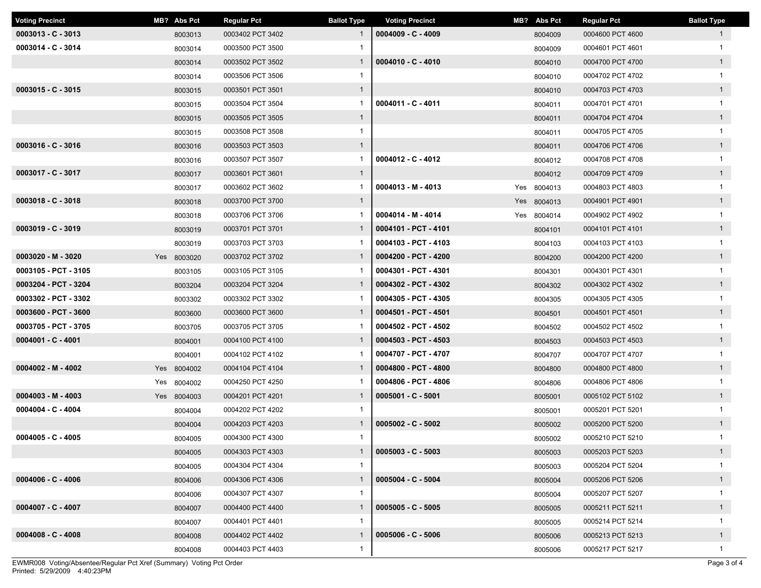| <b>Voting Precinct</b> | MB? Abs Pct | <b>Regular Pct</b> | <b>Ballot Type</b> | <b>Voting Precinct</b> | MB? Abs Pct | <b>Regular Pct</b> | <b>Ballot Type</b> |
|------------------------|-------------|--------------------|--------------------|------------------------|-------------|--------------------|--------------------|
| $0003013 - C - 3013$   | 8003013     | 0003402 PCT 3402   |                    | $0004009 - C - 4009$   | 8004009     | 0004600 PCT 4600   | $\mathbf{1}$       |
| 0003014 - C - 3014     | 8003014     | 0003500 PCT 3500   |                    |                        | 8004009     | 0004601 PCT 4601   | $\mathbf{1}$       |
|                        | 8003014     | 0003502 PCT 3502   | $\mathbf{1}$       | $0004010 - C - 4010$   | 8004010     | 0004700 PCT 4700   | $\mathbf{1}$       |
|                        | 8003014     | 0003506 PCT 3506   | $\mathbf{1}$       |                        | 8004010     | 0004702 PCT 4702   | $\mathbf{1}$       |
| $0003015 - C - 3015$   | 8003015     | 0003501 PCT 3501   | $\mathbf{1}$       |                        | 8004010     | 0004703 PCT 4703   | $\mathbf{1}$       |
|                        | 8003015     | 0003504 PCT 3504   | 1                  | 0004011 - C - 4011     | 8004011     | 0004701 PCT 4701   | 1                  |
|                        | 8003015     | 0003505 PCT 3505   | $\mathbf{1}$       |                        | 8004011     | 0004704 PCT 4704   | $\mathbf{1}$       |
|                        | 8003015     | 0003508 PCT 3508   | $\mathbf{1}$       |                        | 8004011     | 0004705 PCT 4705   | $\mathbf{1}$       |
| $0003016 - C - 3016$   | 8003016     | 0003503 PCT 3503   | $\mathbf{1}$       |                        | 8004011     | 0004706 PCT 4706   | $\mathbf{1}$       |
|                        | 8003016     | 0003507 PCT 3507   | $\mathbf{1}$       | $0004012 - C - 4012$   | 8004012     | 0004708 PCT 4708   | $\mathbf{1}$       |
| $0003017 - C - 3017$   | 8003017     | 0003601 PCT 3601   | $\mathbf{1}$       |                        | 8004012     | 0004709 PCT 4709   | $\mathbf{1}$       |
|                        | 8003017     | 0003602 PCT 3602   | $\mathbf{1}$       | $0004013 - M - 4013$   | Yes 8004013 | 0004803 PCT 4803   | $\mathbf{1}$       |
| $0003018 - C - 3018$   | 8003018     | 0003700 PCT 3700   | $\overline{1}$     |                        | Yes 8004013 | 0004901 PCT 4901   | 1                  |
|                        | 8003018     | 0003706 PCT 3706   |                    | 0004014 - M - 4014     | Yes 8004014 | 0004902 PCT 4902   | $\mathbf{1}$       |
| $0003019 - C - 3019$   | 8003019     | 0003701 PCT 3701   | $\mathbf{1}$       | 0004101 - PCT - 4101   | 8004101     | 0004101 PCT 4101   | $\mathbf{1}$       |
|                        | 8003019     | 0003703 PCT 3703   |                    | 0004103 - PCT - 4103   | 8004103     | 0004103 PCT 4103   | $\mathbf{1}$       |
| $0003020 - M - 3020$   | Yes 8003020 | 0003702 PCT 3702   | $\mathbf{1}$       | 0004200 - PCT - 4200   | 8004200     | 0004200 PCT 4200   | $\mathbf{1}$       |
| 0003105 - PCT - 3105   | 8003105     | 0003105 PCT 3105   |                    | 0004301 - PCT - 4301   | 8004301     | 0004301 PCT 4301   | $\mathbf{1}$       |
| 0003204 - PCT - 3204   | 8003204     | 0003204 PCT 3204   | $\mathbf{1}$       | 0004302 - PCT - 4302   | 8004302     | 0004302 PCT 4302   | $\mathbf{1}$       |
| 0003302 - PCT - 3302   | 8003302     | 0003302 PCT 3302   |                    | 0004305 - PCT - 4305   | 8004305     | 0004305 PCT 4305   | $\mathbf{1}$       |
| 0003600 - PCT - 3600   | 8003600     | 0003600 PCT 3600   | $\mathbf{1}$       | 0004501 - PCT - 4501   | 8004501     | 0004501 PCT 4501   | $\mathbf{1}$       |
| 0003705 - PCT - 3705   | 8003705     | 0003705 PCT 3705   |                    | 0004502 - PCT - 4502   | 8004502     | 0004502 PCT 4502   | $\mathbf{1}$       |
| $0004001 - C - 4001$   | 8004001     | 0004100 PCT 4100   | $\mathbf{1}$       | 0004503 - PCT - 4503   | 8004503     | 0004503 PCT 4503   | $\mathbf{1}$       |
|                        | 8004001     | 0004102 PCT 4102   |                    | 0004707 - PCT - 4707   | 8004707     | 0004707 PCT 4707   | $\mathbf{1}$       |
| $0004002 - M - 4002$   | Yes 8004002 | 0004104 PCT 4104   | $\mathbf{1}$       | 0004800 - PCT - 4800   | 8004800     | 0004800 PCT 4800   | 1                  |
|                        | Yes 8004002 | 0004250 PCT 4250   |                    | 0004806 - PCT - 4806   | 8004806     | 0004806 PCT 4806   | $\mathbf{1}$       |
| $0004003 - M - 4003$   | Yes 8004003 | 0004201 PCT 4201   | $\mathbf{1}$       | $0005001 - C - 5001$   | 8005001     | 0005102 PCT 5102   | $\mathbf{1}$       |
| $0004004 - C - 4004$   | 8004004     | 0004202 PCT 4202   | $\mathbf{1}$       |                        | 8005001     | 0005201 PCT 5201   | $\mathbf{1}$       |
|                        | 8004004     | 0004203 PCT 4203   | $\mathbf{1}$       | $0005002 - C - 5002$   | 8005002     | 0005200 PCT 5200   | $\mathbf{1}$       |
| $0004005 - C - 4005$   | 8004005     | 0004300 PCT 4300   | $\mathbf{1}$       |                        | 8005002     | 0005210 PCT 5210   | $\mathbf{1}$       |
|                        | 8004005     | 0004303 PCT 4303   | $\mathbf{1}$       | $0005003 - C - 5003$   | 8005003     | 0005203 PCT 5203   | $\mathbf{1}$       |
|                        | 8004005     | 0004304 PCT 4304   | -1                 |                        | 8005003     | 0005204 PCT 5204   | $\mathbf{1}$       |
| $0004006 - C - 4006$   | 8004006     | 0004306 PCT 4306   | $\mathbf{1}$       | $0005004 - C - 5004$   | 8005004     | 0005206 PCT 5206   | $\mathbf{1}$       |
|                        | 8004006     | 0004307 PCT 4307   | $\mathbf{1}$       |                        | 8005004     | 0005207 PCT 5207   | $\mathbf{1}$       |
| $0004007 - C - 4007$   | 8004007     | 0004400 PCT 4400   | $\mathbf{1}$       | $0005005 - C - 5005$   | 8005005     | 0005211 PCT 5211   | $\mathbf{1}$       |
|                        | 8004007     | 0004401 PCT 4401   | $\mathbf{1}$       |                        | 8005005     | 0005214 PCT 5214   | $\mathbf{1}$       |
| $0004008 - C - 4008$   | 8004008     | 0004402 PCT 4402   | $\mathbf{1}$       | $0005006 - C - 5006$   | 8005006     | 0005213 PCT 5213   | $\mathbf{1}$       |
|                        | 8004008     | 0004403 PCT 4403   | $\mathbf{1}$       |                        | 8005006     | 0005217 PCT 5217   | $\mathbf{1}$       |